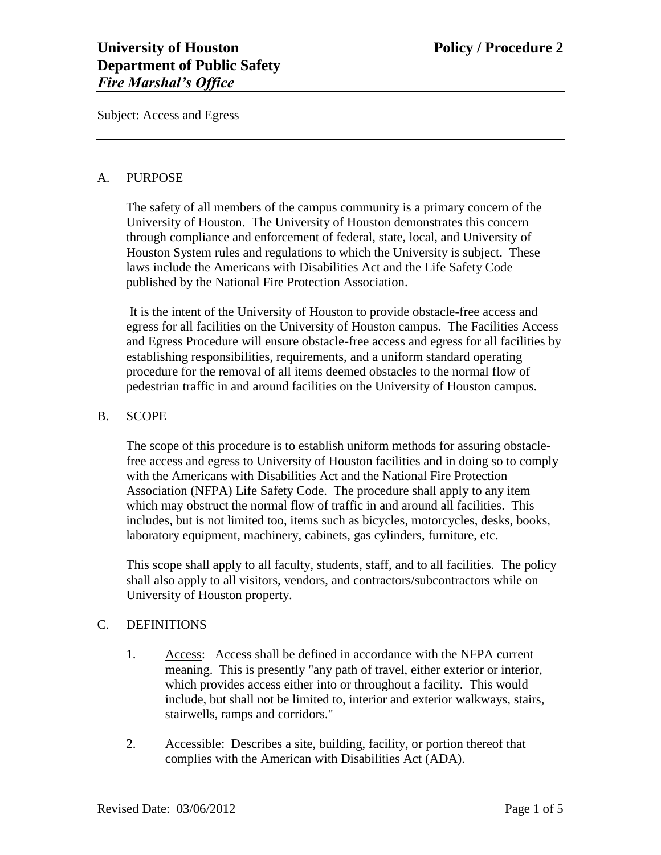Subject: Access and Egress

### A. PURPOSE

The safety of all members of the campus community is a primary concern of the University of Houston. The University of Houston demonstrates this concern through compliance and enforcement of federal, state, local, and University of Houston System rules and regulations to which the University is subject. These laws include the Americans with Disabilities Act and the Life Safety Code published by the National Fire Protection Association.

It is the intent of the University of Houston to provide obstacle-free access and egress for all facilities on the University of Houston campus. The Facilities Access and Egress Procedure will ensure obstacle-free access and egress for all facilities by establishing responsibilities, requirements, and a uniform standard operating procedure for the removal of all items deemed obstacles to the normal flow of pedestrian traffic in and around facilities on the University of Houston campus.

## B. SCOPE

The scope of this procedure is to establish uniform methods for assuring obstaclefree access and egress to University of Houston facilities and in doing so to comply with the Americans with Disabilities Act and the National Fire Protection Association (NFPA) Life Safety Code. The procedure shall apply to any item which may obstruct the normal flow of traffic in and around all facilities. This includes, but is not limited too, items such as bicycles, motorcycles, desks, books, laboratory equipment, machinery, cabinets, gas cylinders, furniture, etc.

This scope shall apply to all faculty, students, staff, and to all facilities. The policy shall also apply to all visitors, vendors, and contractors/subcontractors while on University of Houston property.

#### C. DEFINITIONS

- 1. Access: Access shall be defined in accordance with the NFPA current meaning. This is presently "any path of travel, either exterior or interior, which provides access either into or throughout a facility. This would include, but shall not be limited to, interior and exterior walkways, stairs, stairwells, ramps and corridors."
- 2. Accessible: Describes a site, building, facility, or portion thereof that complies with the American with Disabilities Act (ADA).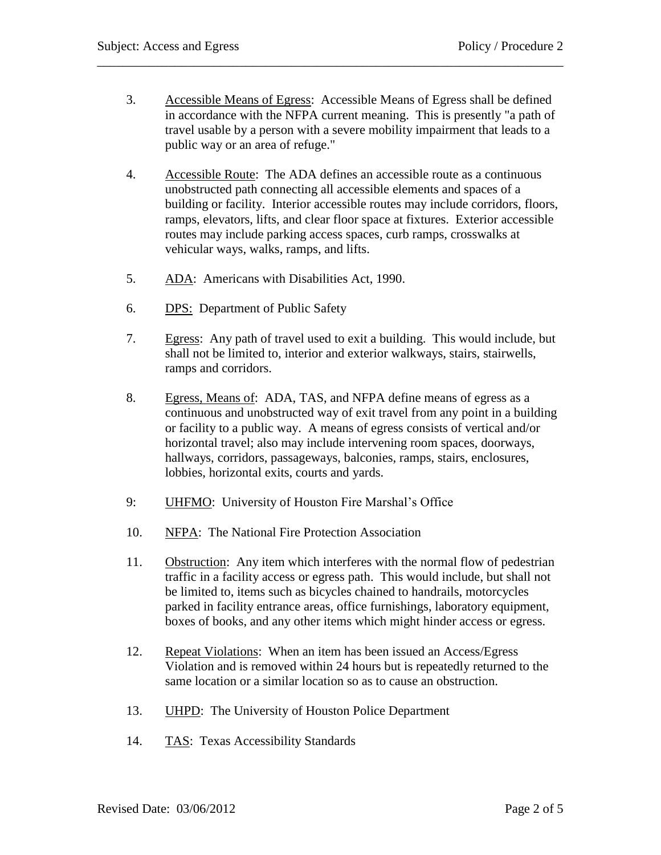3. Accessible Means of Egress: Accessible Means of Egress shall be defined in accordance with the NFPA current meaning. This is presently "a path of travel usable by a person with a severe mobility impairment that leads to a public way or an area of refuge."

\_\_\_\_\_\_\_\_\_\_\_\_\_\_\_\_\_\_\_\_\_\_\_\_\_\_\_\_\_\_\_\_\_\_\_\_\_\_\_\_\_\_\_\_\_\_\_\_\_\_\_\_\_\_\_\_\_\_\_\_\_\_\_\_\_\_\_\_\_\_\_\_

- 4. Accessible Route: The ADA defines an accessible route as a continuous unobstructed path connecting all accessible elements and spaces of a building or facility. Interior accessible routes may include corridors, floors, ramps, elevators, lifts, and clear floor space at fixtures. Exterior accessible routes may include parking access spaces, curb ramps, crosswalks at vehicular ways, walks, ramps, and lifts.
- 5. ADA: Americans with Disabilities Act, 1990.
- 6. DPS: Department of Public Safety
- 7. Egress: Any path of travel used to exit a building. This would include, but shall not be limited to, interior and exterior walkways, stairs, stairwells, ramps and corridors.
- 8. Egress, Means of: ADA, TAS, and NFPA define means of egress as a continuous and unobstructed way of exit travel from any point in a building or facility to a public way. A means of egress consists of vertical and/or horizontal travel; also may include intervening room spaces, doorways, hallways, corridors, passageways, balconies, ramps, stairs, enclosures, lobbies, horizontal exits, courts and yards.
- 9: UHFMO: University of Houston Fire Marshal's Office
- 10. NFPA: The National Fire Protection Association
- 11. Obstruction: Any item which interferes with the normal flow of pedestrian traffic in a facility access or egress path. This would include, but shall not be limited to, items such as bicycles chained to handrails, motorcycles parked in facility entrance areas, office furnishings, laboratory equipment, boxes of books, and any other items which might hinder access or egress.
- 12. Repeat Violations: When an item has been issued an Access/Egress Violation and is removed within 24 hours but is repeatedly returned to the same location or a similar location so as to cause an obstruction.
- 13. UHPD: The University of Houston Police Department
- 14. TAS: Texas Accessibility Standards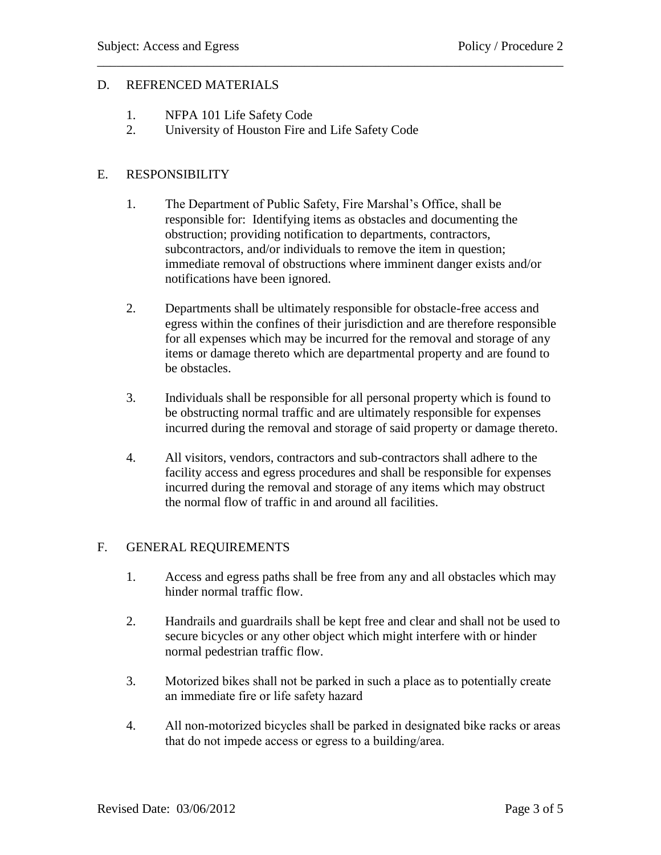## D. REFRENCED MATERIALS

- 1. NFPA 101 Life Safety Code
- 2. University of Houston Fire and Life Safety Code

# E. RESPONSIBILITY

1. The Department of Public Safety, Fire Marshal's Office, shall be responsible for: Identifying items as obstacles and documenting the obstruction; providing notification to departments, contractors, subcontractors, and/or individuals to remove the item in question; immediate removal of obstructions where imminent danger exists and/or notifications have been ignored.

\_\_\_\_\_\_\_\_\_\_\_\_\_\_\_\_\_\_\_\_\_\_\_\_\_\_\_\_\_\_\_\_\_\_\_\_\_\_\_\_\_\_\_\_\_\_\_\_\_\_\_\_\_\_\_\_\_\_\_\_\_\_\_\_\_\_\_\_\_\_\_\_

- 2. Departments shall be ultimately responsible for obstacle-free access and egress within the confines of their jurisdiction and are therefore responsible for all expenses which may be incurred for the removal and storage of any items or damage thereto which are departmental property and are found to be obstacles.
- 3. Individuals shall be responsible for all personal property which is found to be obstructing normal traffic and are ultimately responsible for expenses incurred during the removal and storage of said property or damage thereto.
- 4. All visitors, vendors, contractors and sub-contractors shall adhere to the facility access and egress procedures and shall be responsible for expenses incurred during the removal and storage of any items which may obstruct the normal flow of traffic in and around all facilities.

# F. GENERAL REQUIREMENTS

- 1. Access and egress paths shall be free from any and all obstacles which may hinder normal traffic flow.
- 2. Handrails and guardrails shall be kept free and clear and shall not be used to secure bicycles or any other object which might interfere with or hinder normal pedestrian traffic flow.
- 3. Motorized bikes shall not be parked in such a place as to potentially create an immediate fire or life safety hazard
- 4. All non-motorized bicycles shall be parked in designated bike racks or areas that do not impede access or egress to a building/area.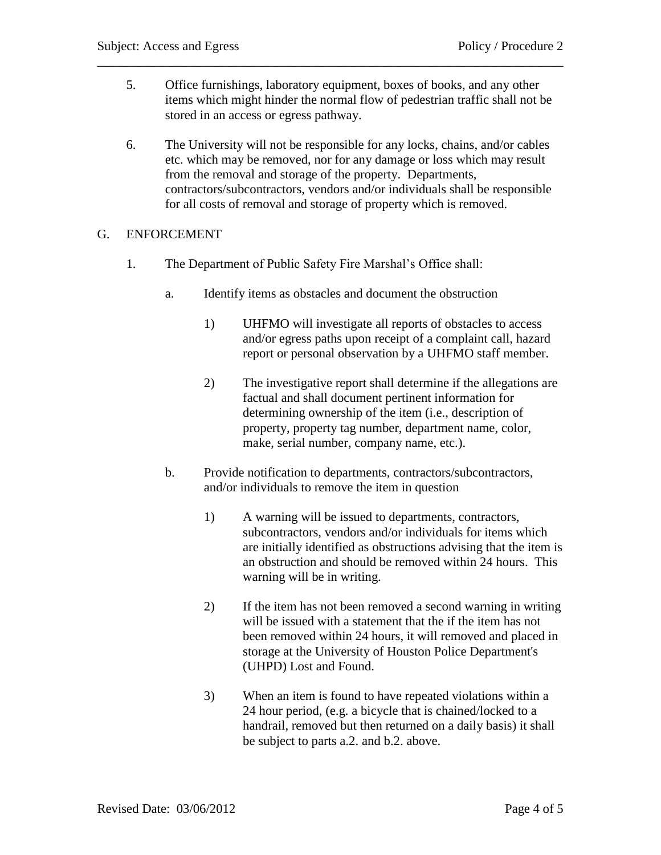5. Office furnishings, laboratory equipment, boxes of books, and any other items which might hinder the normal flow of pedestrian traffic shall not be stored in an access or egress pathway.

\_\_\_\_\_\_\_\_\_\_\_\_\_\_\_\_\_\_\_\_\_\_\_\_\_\_\_\_\_\_\_\_\_\_\_\_\_\_\_\_\_\_\_\_\_\_\_\_\_\_\_\_\_\_\_\_\_\_\_\_\_\_\_\_\_\_\_\_\_\_\_\_

6. The University will not be responsible for any locks, chains, and/or cables etc. which may be removed, nor for any damage or loss which may result from the removal and storage of the property. Departments, contractors/subcontractors, vendors and/or individuals shall be responsible for all costs of removal and storage of property which is removed.

## G. ENFORCEMENT

- 1. The Department of Public Safety Fire Marshal's Office shall:
	- a. Identify items as obstacles and document the obstruction
		- 1) UHFMO will investigate all reports of obstacles to access and/or egress paths upon receipt of a complaint call, hazard report or personal observation by a UHFMO staff member.
		- 2) The investigative report shall determine if the allegations are factual and shall document pertinent information for determining ownership of the item (i.e., description of property, property tag number, department name, color, make, serial number, company name, etc.).
	- b. Provide notification to departments, contractors/subcontractors, and/or individuals to remove the item in question
		- 1) A warning will be issued to departments, contractors, subcontractors, vendors and/or individuals for items which are initially identified as obstructions advising that the item is an obstruction and should be removed within 24 hours. This warning will be in writing.
		- 2) If the item has not been removed a second warning in writing will be issued with a statement that the if the item has not been removed within 24 hours, it will removed and placed in storage at the University of Houston Police Department's (UHPD) Lost and Found.
		- 3) When an item is found to have repeated violations within a 24 hour period, (e.g. a bicycle that is chained/locked to a handrail, removed but then returned on a daily basis) it shall be subject to parts a.2. and b.2. above.